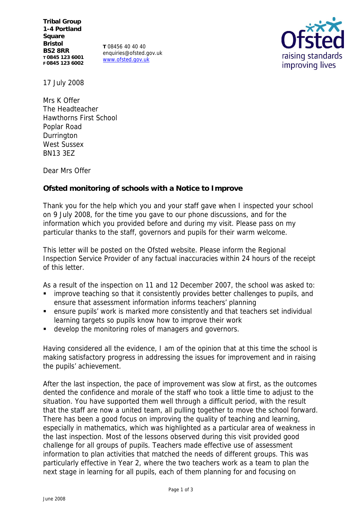**Tribal Group 1-4 Portland Square Bristol BS2 8RR T 0845 123 6001 F 0845 123 6002**

**T** 08456 40 40 40 enquiries@ofsted.gov.uk www.ofsted.gov.uk



17 July 2008

Mrs K Offer The Headteacher Hawthorns First School Poplar Road Durrington West Sussex BN13 3EZ

Dear Mrs Offer

**Ofsted monitoring of schools with a Notice to Improve**

Thank you for the help which you and your staff gave when I inspected your school on 9 July 2008, for the time you gave to our phone discussions, and for the information which you provided before and during my visit. Please pass on my particular thanks to the staff, governors and pupils for their warm welcome.

This letter will be posted on the Ofsted website. Please inform the Regional Inspection Service Provider of any factual inaccuracies within 24 hours of the receipt of this letter.

As a result of the inspection on 11 and 12 December 2007, the school was asked to:

- improve teaching so that it consistently provides better challenges to pupils, and ensure that assessment information informs teachers' planning
- ensure pupils' work is marked more consistently and that teachers set individual learning targets so pupils know how to improve their work
- develop the monitoring roles of managers and governors.

Having considered all the evidence, I am of the opinion that at this time the school is making satisfactory progress in addressing the issues for improvement and in raising the pupils' achievement.

After the last inspection, the pace of improvement was slow at first, as the outcomes dented the confidence and morale of the staff who took a little time to adjust to the situation. You have supported them well through a difficult period, with the result that the staff are now a united team, all pulling together to move the school forward. There has been a good focus on improving the quality of teaching and learning, especially in mathematics, which was highlighted as a particular area of weakness in the last inspection. Most of the lessons observed during this visit provided good challenge for all groups of pupils. Teachers made effective use of assessment information to plan activities that matched the needs of different groups. This was particularly effective in Year 2, where the two teachers work as a team to plan the next stage in learning for all pupils, each of them planning for and focusing on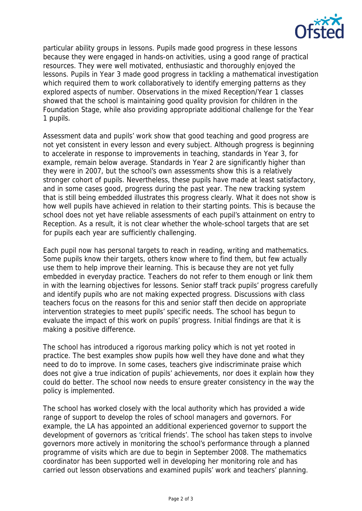

particular ability groups in lessons. Pupils made good progress in these lessons because they were engaged in hands-on activities, using a good range of practical resources. They were well motivated, enthusiastic and thoroughly enjoyed the lessons. Pupils in Year 3 made good progress in tackling a mathematical investigation which required them to work collaboratively to identify emerging patterns as they explored aspects of number. Observations in the mixed Reception/Year 1 classes showed that the school is maintaining good quality provision for children in the Foundation Stage, while also providing appropriate additional challenge for the Year 1 pupils.

Assessment data and pupils' work show that good teaching and good progress are not yet consistent in every lesson and every subject. Although progress is beginning to accelerate in response to improvements in teaching, standards in Year 3, for example, remain below average. Standards in Year 2 are significantly higher than they were in 2007, but the school's own assessments show this is a relatively stronger cohort of pupils. Nevertheless, these pupils have made at least satisfactory, and in some cases good, progress during the past year. The new tracking system that is still being embedded illustrates this progress clearly. What it does not show is how well pupils have achieved in relation to their starting points. This is because the school does not yet have reliable assessments of each pupil's attainment on entry to Reception. As a result, it is not clear whether the whole-school targets that are set for pupils each year are sufficiently challenging.

Each pupil now has personal targets to reach in reading, writing and mathematics. Some pupils know their targets, others know where to find them, but few actually use them to help improve their learning. This is because they are not yet fully embedded in everyday practice. Teachers do not refer to them enough or link them in with the learning objectives for lessons. Senior staff track pupils' progress carefully and identify pupils who are not making expected progress. Discussions with class teachers focus on the reasons for this and senior staff then decide on appropriate intervention strategies to meet pupils' specific needs. The school has begun to evaluate the impact of this work on pupils' progress. Initial findings are that it is making a positive difference.

The school has introduced a rigorous marking policy which is not yet rooted in practice. The best examples show pupils how well they have done and what they need to do to improve. In some cases, teachers give indiscriminate praise which does not give a true indication of pupils' achievements, nor does it explain how they could do better. The school now needs to ensure greater consistency in the way the policy is implemented.

The school has worked closely with the local authority which has provided a wide range of support to develop the roles of school managers and governors. For example, the LA has appointed an additional experienced governor to support the development of governors as 'critical friends'. The school has taken steps to involve governors more actively in monitoring the school's performance through a planned programme of visits which are due to begin in September 2008. The mathematics coordinator has been supported well in developing her monitoring role and has carried out lesson observations and examined pupils' work and teachers' planning.